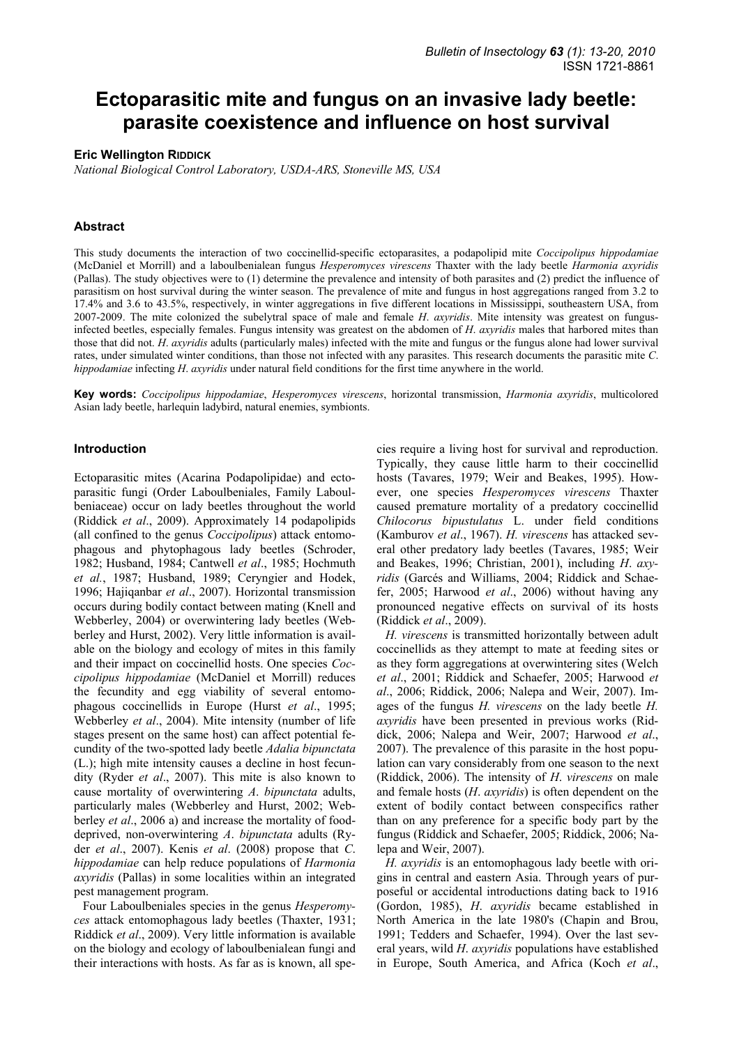# **Ectoparasitic mite and fungus on an invasive lady beetle: parasite coexistence and influence on host survival**

# **Eric Wellington RIDDICK**

*National Biological Control Laboratory, USDA-ARS, Stoneville MS, USA* 

# **Abstract**

This study documents the interaction of two coccinellid-specific ectoparasites, a podapolipid mite *Coccipolipus hippodamiae* (McDaniel et Morrill) and a laboulbenialean fungus *Hesperomyces virescens* Thaxter with the lady beetle *Harmonia axyridis* (Pallas). The study objectives were to (1) determine the prevalence and intensity of both parasites and (2) predict the influence of parasitism on host survival during the winter season. The prevalence of mite and fungus in host aggregations ranged from 3.2 to 17.4% and 3.6 to 43.5%, respectively, in winter aggregations in five different locations in Mississippi, southeastern USA, from 2007-2009. The mite colonized the subelytral space of male and female *H*. *axyridis*. Mite intensity was greatest on fungusinfected beetles, especially females. Fungus intensity was greatest on the abdomen of *H*. *axyridis* males that harbored mites than those that did not. *H*. *axyridis* adults (particularly males) infected with the mite and fungus or the fungus alone had lower survival rates, under simulated winter conditions, than those not infected with any parasites. This research documents the parasitic mite *C*. *hippodamiae* infecting *H*. *axyridis* under natural field conditions for the first time anywhere in the world.

**Key words:** *Coccipolipus hippodamiae*, *Hesperomyces virescens*, horizontal transmission, *Harmonia axyridis*, multicolored Asian lady beetle, harlequin ladybird, natural enemies, symbionts.

## **Introduction**

Ectoparasitic mites (Acarina Podapolipidae) and ectoparasitic fungi (Order Laboulbeniales, Family Laboulbeniaceae) occur on lady beetles throughout the world (Riddick *et al*., 2009). Approximately 14 podapolipids (all confined to the genus *Coccipolipus*) attack entomophagous and phytophagous lady beetles (Schroder, 1982; Husband, 1984; Cantwell *et al*., 1985; Hochmuth *et al.*, 1987; Husband, 1989; Ceryngier and Hodek, 1996; Hajiqanbar *et al*., 2007). Horizontal transmission occurs during bodily contact between mating (Knell and Webberley, 2004) or overwintering lady beetles (Webberley and Hurst, 2002). Very little information is available on the biology and ecology of mites in this family and their impact on coccinellid hosts. One species *Coccipolipus hippodamiae* (McDaniel et Morrill) reduces the fecundity and egg viability of several entomophagous coccinellids in Europe (Hurst *et al*., 1995; Webberley *et al*., 2004). Mite intensity (number of life stages present on the same host) can affect potential fecundity of the two-spotted lady beetle *Adalia bipunctata* (L.); high mite intensity causes a decline in host fecundity (Ryder *et al*., 2007). This mite is also known to cause mortality of overwintering *A*. *bipunctata* adults, particularly males (Webberley and Hurst, 2002; Webberley *et al*., 2006 a) and increase the mortality of fooddeprived, non-overwintering *A*. *bipunctata* adults (Ryder *et al*., 2007). Kenis *et al*. (2008) propose that *C*. *hippodamiae* can help reduce populations of *Harmonia axyridis* (Pallas) in some localities within an integrated pest management program.

Four Laboulbeniales species in the genus *Hesperomyces* attack entomophagous lady beetles (Thaxter, 1931; Riddick *et al*., 2009). Very little information is available on the biology and ecology of laboulbenialean fungi and their interactions with hosts. As far as is known, all spe-

cies require a living host for survival and reproduction. Typically, they cause little harm to their coccinellid hosts (Tavares, 1979; Weir and Beakes, 1995). However, one species *Hesperomyces virescens* Thaxter caused premature mortality of a predatory coccinellid *Chilocorus bipustulatus* L. under field conditions (Kamburov *et al*., 1967). *H. virescens* has attacked several other predatory lady beetles (Tavares, 1985; Weir and Beakes, 1996; Christian, 2001), including *H*. *axyridis* (Garcés and Williams, 2004; Riddick and Schaefer, 2005; Harwood *et al*., 2006) without having any pronounced negative effects on survival of its hosts (Riddick *et al*., 2009).

*H. virescens* is transmitted horizontally between adult coccinellids as they attempt to mate at feeding sites or as they form aggregations at overwintering sites (Welch *et al*., 2001; Riddick and Schaefer, 2005; Harwood *et al*., 2006; Riddick, 2006; Nalepa and Weir, 2007). Images of the fungus *H. virescens* on the lady beetle *H. axyridis* have been presented in previous works (Riddick, 2006; Nalepa and Weir, 2007; Harwood *et al*., 2007). The prevalence of this parasite in the host population can vary considerably from one season to the next (Riddick, 2006). The intensity of *H*. *virescens* on male and female hosts (*H*. *axyridis*) is often dependent on the extent of bodily contact between conspecifics rather than on any preference for a specific body part by the fungus (Riddick and Schaefer, 2005; Riddick, 2006; Nalepa and Weir, 2007).

*H. axyridis* is an entomophagous lady beetle with origins in central and eastern Asia. Through years of purposeful or accidental introductions dating back to 1916 (Gordon, 1985), *H*. *axyridis* became established in North America in the late 1980's (Chapin and Brou, 1991; Tedders and Schaefer, 1994). Over the last several years, wild *H*. *axyridis* populations have established in Europe, South America, and Africa (Koch *et al*.,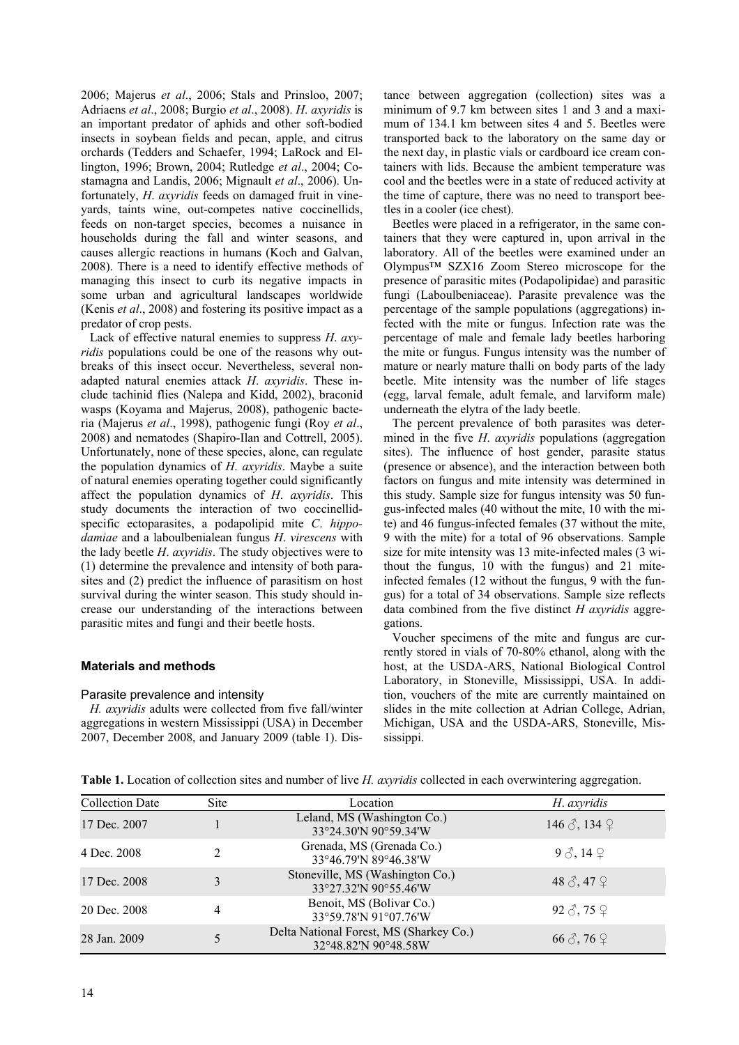2006; Majerus *et al*., 2006; Stals and Prinsloo, 2007; Adriaens *et al*., 2008; Burgio *et al*., 2008). *H*. *axyridis* is an important predator of aphids and other soft-bodied insects in soybean fields and pecan, apple, and citrus orchards (Tedders and Schaefer, 1994; LaRock and Ellington, 1996; Brown, 2004; Rutledge *et al*., 2004; Costamagna and Landis, 2006; Mignault *et al*., 2006). Unfortunately, *H*. *axyridis* feeds on damaged fruit in vineyards, taints wine, out-competes native coccinellids, feeds on non-target species, becomes a nuisance in households during the fall and winter seasons, and causes allergic reactions in humans (Koch and Galvan, 2008). There is a need to identify effective methods of managing this insect to curb its negative impacts in some urban and agricultural landscapes worldwide (Kenis *et al*., 2008) and fostering its positive impact as a predator of crop pests.

Lack of effective natural enemies to suppress *H*. *axyridis* populations could be one of the reasons why outbreaks of this insect occur. Nevertheless, several nonadapted natural enemies attack *H*. *axyridis*. These include tachinid flies (Nalepa and Kidd, 2002), braconid wasps (Koyama and Majerus, 2008), pathogenic bacteria (Majerus *et al*., 1998), pathogenic fungi (Roy *et al*., 2008) and nematodes (Shapiro-Ilan and Cottrell, 2005). Unfortunately, none of these species, alone, can regulate the population dynamics of *H*. *axyridis*. Maybe a suite of natural enemies operating together could significantly affect the population dynamics of *H*. *axyridis*. This study documents the interaction of two coccinellidspecific ectoparasites, a podapolipid mite *C*. *hippodamiae* and a laboulbenialean fungus *H*. *virescens* with the lady beetle *H*. *axyridis*. The study objectives were to (1) determine the prevalence and intensity of both parasites and (2) predict the influence of parasitism on host survival during the winter season. This study should increase our understanding of the interactions between parasitic mites and fungi and their beetle hosts.

## **Materials and methods**

# Parasite prevalence and intensity

*H. axyridis* adults were collected from five fall/winter aggregations in western Mississippi (USA) in December 2007, December 2008, and January 2009 (table 1). Distance between aggregation (collection) sites was a minimum of 9.7 km between sites 1 and 3 and a maximum of 134.1 km between sites 4 and 5. Beetles were transported back to the laboratory on the same day or the next day, in plastic vials or cardboard ice cream containers with lids. Because the ambient temperature was cool and the beetles were in a state of reduced activity at the time of capture, there was no need to transport beetles in a cooler (ice chest).

Beetles were placed in a refrigerator, in the same containers that they were captured in, upon arrival in the laboratory. All of the beetles were examined under an Olympus™ SZX16 Zoom Stereo microscope for the presence of parasitic mites (Podapolipidae) and parasitic fungi (Laboulbeniaceae). Parasite prevalence was the percentage of the sample populations (aggregations) infected with the mite or fungus. Infection rate was the percentage of male and female lady beetles harboring the mite or fungus. Fungus intensity was the number of mature or nearly mature thalli on body parts of the lady beetle. Mite intensity was the number of life stages (egg, larval female, adult female, and larviform male) underneath the elytra of the lady beetle.

The percent prevalence of both parasites was determined in the five *H*. *axyridis* populations (aggregation sites). The influence of host gender, parasite status (presence or absence), and the interaction between both factors on fungus and mite intensity was determined in this study. Sample size for fungus intensity was 50 fungus-infected males (40 without the mite, 10 with the mite) and 46 fungus-infected females (37 without the mite, 9 with the mite) for a total of 96 observations. Sample size for mite intensity was 13 mite-infected males (3 without the fungus, 10 with the fungus) and 21 miteinfected females (12 without the fungus, 9 with the fungus) for a total of 34 observations. Sample size reflects data combined from the five distinct *H axyridis* aggregations.

Voucher specimens of the mite and fungus are currently stored in vials of 70-80% ethanol, along with the host, at the USDA-ARS, National Biological Control Laboratory, in Stoneville, Mississippi, USA. In addition, vouchers of the mite are currently maintained on slides in the mite collection at Adrian College, Adrian, Michigan, USA and the USDA-ARS, Stoneville, Mississippi.

**Table 1.** Location of collection sites and number of live *H. axyridis* collected in each overwintering aggregation.

| <b>Collection Date</b> | Site | Location                                                        | H. axyridis                 |
|------------------------|------|-----------------------------------------------------------------|-----------------------------|
| 17 Dec. 2007           |      | Leland, MS (Washington Co.)<br>33°24.30'N 90°59.34'W            | 146 $\delta$ , 134 $\Omega$ |
| 4 Dec. 2008            |      | Grenada, MS (Grenada Co.)<br>33°46.79'N 89°46.38'W              | $9 \delta$ , 14 $\Omega$    |
| 17 Dec. 2008           |      | Stoneville, MS (Washington Co.)<br>33°27.32'N 90°55.46'W        | 48 $\delta$ , 47 $\Omega$   |
| 20 Dec. 2008           | 4    | Benoit, MS (Bolivar Co.)<br>33°59.78'N 91°07.76'W               | $92 \uparrow$ , 75 $\circ$  |
| 28 Jan. 2009           |      | Delta National Forest, MS (Sharkey Co.)<br>32°48.82'N 90°48.58W | 66 $\delta$ , 76 $\Omega$   |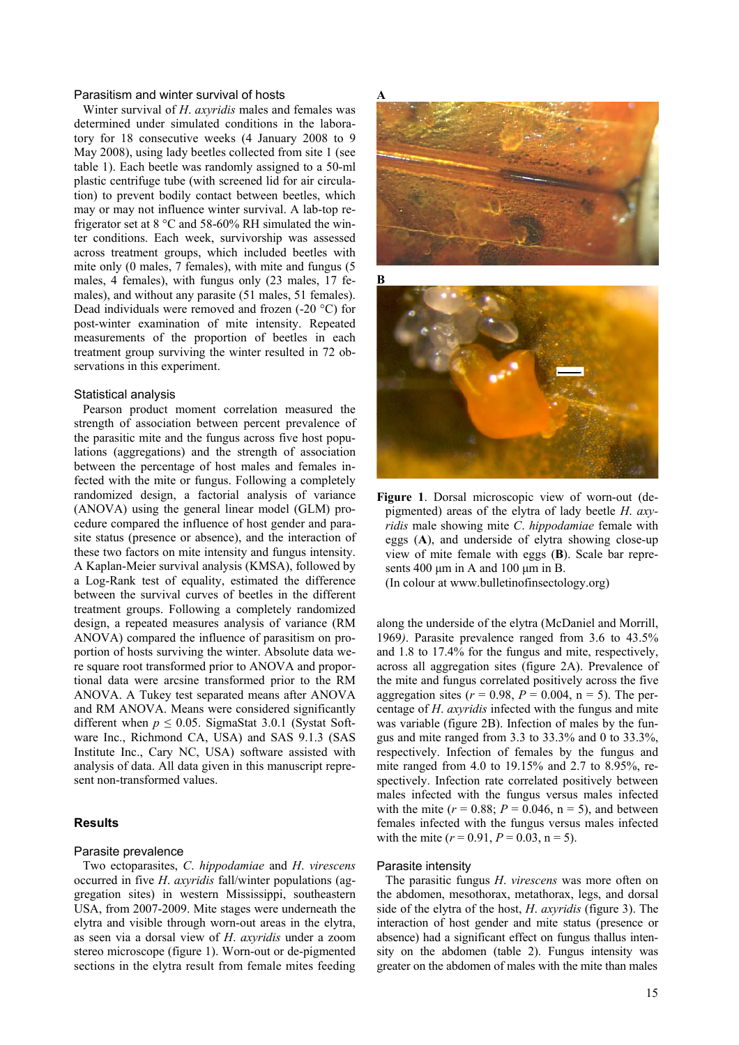## Parasitism and winter survival of hosts

Winter survival of *H*. *axyridis* males and females was determined under simulated conditions in the laboratory for 18 consecutive weeks (4 January 2008 to 9 May 2008), using lady beetles collected from site 1 (see table 1). Each beetle was randomly assigned to a 50-ml plastic centrifuge tube (with screened lid for air circulation) to prevent bodily contact between beetles, which may or may not influence winter survival. A lab-top refrigerator set at 8 °C and 58-60% RH simulated the winter conditions. Each week, survivorship was assessed across treatment groups, which included beetles with mite only (0 males, 7 females), with mite and fungus (5 males, 4 females), with fungus only (23 males, 17 females), and without any parasite (51 males, 51 females). Dead individuals were removed and frozen (-20 °C) for post-winter examination of mite intensity. Repeated measurements of the proportion of beetles in each treatment group surviving the winter resulted in 72 observations in this experiment.

#### Statistical analysis

Pearson product moment correlation measured the strength of association between percent prevalence of the parasitic mite and the fungus across five host populations (aggregations) and the strength of association between the percentage of host males and females infected with the mite or fungus. Following a completely randomized design, a factorial analysis of variance (ANOVA) using the general linear model (GLM) procedure compared the influence of host gender and parasite status (presence or absence), and the interaction of these two factors on mite intensity and fungus intensity. A Kaplan-Meier survival analysis (KMSA), followed by a Log-Rank test of equality, estimated the difference between the survival curves of beetles in the different treatment groups. Following a completely randomized design, a repeated measures analysis of variance (RM ANOVA) compared the influence of parasitism on proportion of hosts surviving the winter. Absolute data were square root transformed prior to ANOVA and proportional data were arcsine transformed prior to the RM ANOVA. A Tukey test separated means after ANOVA and RM ANOVA. Means were considered significantly different when  $p \le 0.05$ . SigmaStat 3.0.1 (Systat Software Inc., Richmond CA, USA) and SAS 9.1.3 (SAS Institute Inc., Cary NC, USA) software assisted with analysis of data. All data given in this manuscript represent non-transformed values.

# **Results**

#### Parasite prevalence

Two ectoparasites, *C*. *hippodamiae* and *H*. *virescens* occurred in five *H*. *axyridis* fall/winter populations (aggregation sites) in western Mississippi, southeastern USA, from 2007-2009. Mite stages were underneath the elytra and visible through worn-out areas in the elytra, as seen via a dorsal view of *H*. *axyridis* under a zoom stereo microscope (figure 1). Worn-out or de-pigmented sections in the elytra result from female mites feeding



**Figure 1**. Dorsal microscopic view of worn-out (depigmented) areas of the elytra of lady beetle *H*. *axyridis* male showing mite *C*. *hippodamiae* female with eggs (**A**), and underside of elytra showing close-up view of mite female with eggs (**B**). Scale bar represents  $400 \mu m$  in A and  $100 \mu m$  in B. (In colour at www.bulletinofinsectology.org)

along the underside of the elytra (McDaniel and Morrill, 1969*)*. Parasite prevalence ranged from 3.6 to 43.5% and 1.8 to 17.4% for the fungus and mite, respectively, across all aggregation sites (figure 2A). Prevalence of the mite and fungus correlated positively across the five aggregation sites ( $r = 0.98$ ,  $P = 0.004$ ,  $n = 5$ ). The percentage of *H*. *axyridis* infected with the fungus and mite was variable (figure 2B). Infection of males by the fungus and mite ranged from 3.3 to 33.3% and 0 to 33.3%, respectively. Infection of females by the fungus and mite ranged from 4.0 to 19.15% and 2.7 to 8.95%, respectively. Infection rate correlated positively between males infected with the fungus versus males infected with the mite  $(r = 0.88; P = 0.046, n = 5)$ , and between females infected with the fungus versus males infected with the mite  $(r = 0.91, P = 0.03, n = 5)$ .

#### Parasite intensity

The parasitic fungus *H*. *virescens* was more often on the abdomen, mesothorax, metathorax, legs, and dorsal side of the elytra of the host, *H*. *axyridis* (figure 3). The interaction of host gender and mite status (presence or absence) had a significant effect on fungus thallus intensity on the abdomen (table 2). Fungus intensity was greater on the abdomen of males with the mite than males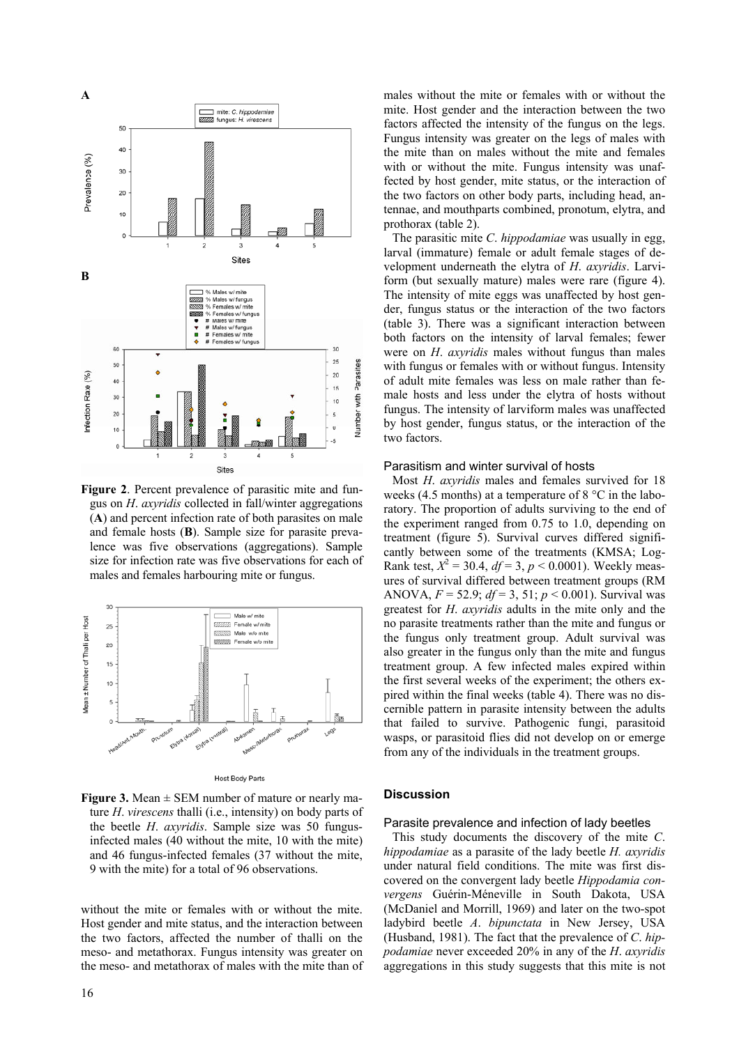

**Figure 2**. Percent prevalence of parasitic mite and fungus on *H*. *axyridis* collected in fall/winter aggregations (**A**) and percent infection rate of both parasites on male and female hosts (**B**). Sample size for parasite prevalence was five observations (aggregations). Sample size for infection rate was five observations for each of males and females harbouring mite or fungus.



**Host Body Parts** 

**Figure 3.** Mean  $\pm$  SEM number of mature or nearly mature *H*. *virescens* thalli (i.e., intensity) on body parts of the beetle *H*. *axyridis*. Sample size was 50 fungusinfected males (40 without the mite, 10 with the mite) and 46 fungus-infected females (37 without the mite, 9 with the mite) for a total of 96 observations.

without the mite or females with or without the mite. Host gender and mite status, and the interaction between the two factors, affected the number of thalli on the meso- and metathorax. Fungus intensity was greater on the meso- and metathorax of males with the mite than of males without the mite or females with or without the mite. Host gender and the interaction between the two factors affected the intensity of the fungus on the legs. Fungus intensity was greater on the legs of males with the mite than on males without the mite and females with or without the mite. Fungus intensity was unaffected by host gender, mite status, or the interaction of the two factors on other body parts, including head, antennae, and mouthparts combined, pronotum, elytra, and prothorax (table 2).

The parasitic mite *C*. *hippodamiae* was usually in egg, larval (immature) female or adult female stages of development underneath the elytra of *H*. *axyridis*. Larviform (but sexually mature) males were rare (figure 4). The intensity of mite eggs was unaffected by host gender, fungus status or the interaction of the two factors (table 3). There was a significant interaction between both factors on the intensity of larval females; fewer were on *H*. *axyridis* males without fungus than males with fungus or females with or without fungus. Intensity of adult mite females was less on male rather than female hosts and less under the elytra of hosts without fungus. The intensity of larviform males was unaffected by host gender, fungus status, or the interaction of the two factors.

## Parasitism and winter survival of hosts

Most *H*. *axyridis* males and females survived for 18 weeks (4.5 months) at a temperature of 8  $^{\circ}$ C in the laboratory. The proportion of adults surviving to the end of the experiment ranged from 0.75 to 1.0, depending on treatment (figure 5). Survival curves differed significantly between some of the treatments (KMSA; Log-Rank test,  $X^2 = 30.4$ ,  $df = 3$ ,  $p < 0.0001$ ). Weekly measures of survival differed between treatment groups (RM ANOVA, *F* = 52.9; *df* = 3, 51; *p* < 0.001). Survival was greatest for *H*. *axyridis* adults in the mite only and the no parasite treatments rather than the mite and fungus or the fungus only treatment group. Adult survival was also greater in the fungus only than the mite and fungus treatment group. A few infected males expired within the first several weeks of the experiment; the others expired within the final weeks (table 4). There was no discernible pattern in parasite intensity between the adults that failed to survive. Pathogenic fungi, parasitoid wasps, or parasitoid flies did not develop on or emerge from any of the individuals in the treatment groups.

# **Discussion**

#### Parasite prevalence and infection of lady beetles

This study documents the discovery of the mite *C*. *hippodamiae* as a parasite of the lady beetle *H. axyridis* under natural field conditions. The mite was first discovered on the convergent lady beetle *Hippodamia convergens* Guérin-Méneville in South Dakota, USA (McDaniel and Morrill, 1969) and later on the two-spot ladybird beetle *A*. *bipunctata* in New Jersey, USA (Husband, 1981). The fact that the prevalence of *C*. *hippodamiae* never exceeded 20% in any of the *H*. *axyridis* aggregations in this study suggests that this mite is not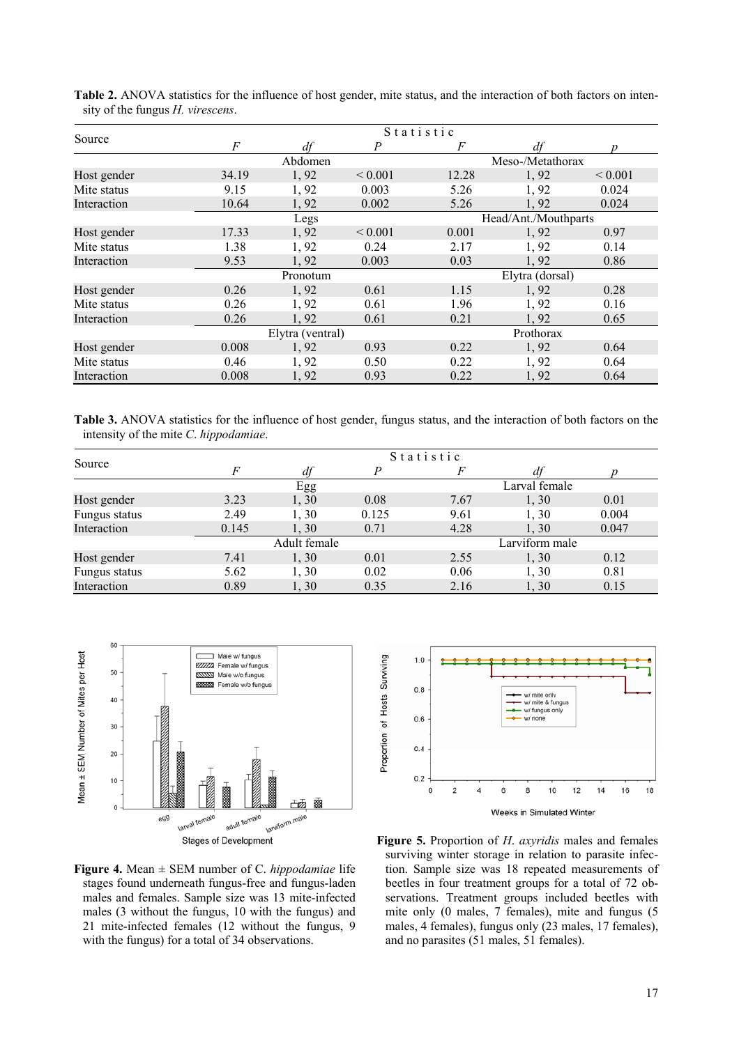| Source      | Statistic        |      |                      |                  |           |             |
|-------------|------------------|------|----------------------|------------------|-----------|-------------|
|             | $\overline{F}$   | df   | $\boldsymbol{P}$     | F                | df        | n           |
|             | Abdomen          |      |                      | Meso-/Metathorax |           |             |
| Host gender | 34.19            | 1,92 | ${}< 0.001$          | 12.28            | 1,92      | ${}< 0.001$ |
| Mite status | 9.15             | 1,92 | 0.003                | 5.26             | 1,92      | 0.024       |
| Interaction | 10.64            | 1,92 | 0.002                | 5.26             | 1,92      | 0.024       |
|             |                  | Legs | Head/Ant./Mouthparts |                  |           |             |
| Host gender | 17.33            | 1,92 | ${}< 0.001$          | 0.001            | 1,92      | 0.97        |
| Mite status | 1.38             | 1,92 | 0.24                 | 2.17             | 1,92      | 0.14        |
| Interaction | 9.53             | 1,92 | 0.003                | 0.03             | 1,92      | 0.86        |
|             | Pronotum         |      |                      | Elytra (dorsal)  |           |             |
| Host gender | 0.26             | 1,92 | 0.61                 | 1.15             | 1,92      | 0.28        |
| Mite status | 0.26             | 1,92 | 0.61                 | 1.96             | 1,92      | 0.16        |
| Interaction | 0.26             | 1,92 | 0.61                 | 0.21             | 1,92      | 0.65        |
|             | Elytra (ventral) |      |                      |                  | Prothorax |             |
| Host gender | 0.008            | 1,92 | 0.93                 | 0.22             | 1,92      | 0.64        |
| Mite status | 0.46             | 1,92 | 0.50                 | 0.22             | 1,92      | 0.64        |
| Interaction | 0.008            | 1,92 | 0.93                 | 0.22             | 1,92      | 0.64        |

**Table 2.** ANOVA statistics for the influence of host gender, mite status, and the interaction of both factors on intensity of the fungus *H. virescens*.

**Table 3.** ANOVA statistics for the influence of host gender, fungus status, and the interaction of both factors on the intensity of the mite *C*. *hippodamiae*.

| Source        | Statistic            |      |       |                |       |       |
|---------------|----------------------|------|-------|----------------|-------|-------|
|               | F                    | df   | D     |                |       |       |
|               | Egg<br>Larval female |      |       |                |       |       |
| Host gender   | 3.23                 | 1,30 | 0.08  | 7.67           | 1, 30 | 0.01  |
| Fungus status | 2.49                 | 1,30 | 0.125 | 9.61           | 1,30  | 0.004 |
| Interaction   | 0.145                | 1,30 | 0.71  | 4.28           | 1,30  | 0.047 |
|               | Adult female         |      |       | Larviform male |       |       |
| Host gender   | 7.41                 | 1,30 | 0.01  | 2.55           | 1, 30 | 0.12  |
| Fungus status | 5.62                 | 1,30 | 0.02  | 0.06           | 1,30  | 0.81  |
| Interaction   | 0.89                 | 1,30 | 0.35  | 2.16           | 1,30  | 0.15  |



**Figure 4.** Mean ± SEM number of C. *hippodamiae* life stages found underneath fungus-free and fungus-laden males and females. Sample size was 13 mite-infected males (3 without the fungus, 10 with the fungus) and 21 mite-infected females (12 without the fungus, 9 with the fungus) for a total of 34 observations.



**Figure 5.** Proportion of *H*. *axyridis* males and females surviving winter storage in relation to parasite infection. Sample size was 18 repeated measurements of beetles in four treatment groups for a total of 72 observations. Treatment groups included beetles with mite only (0 males, 7 females), mite and fungus (5 males, 4 females), fungus only (23 males, 17 females), and no parasites (51 males, 51 females).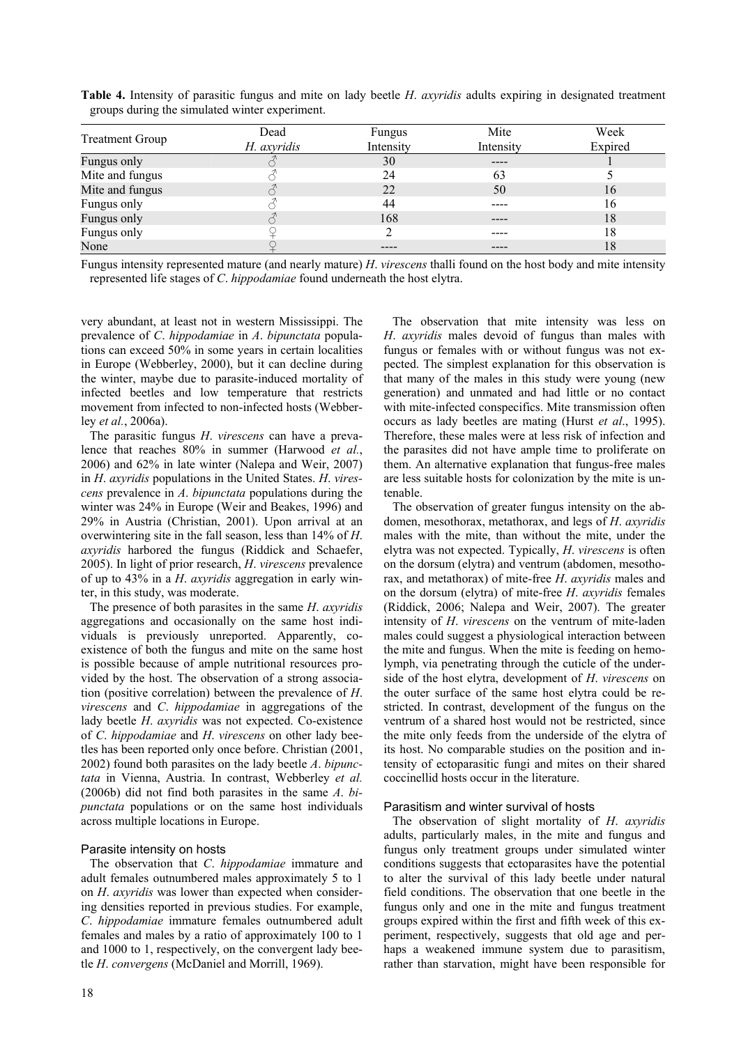|                        | Dead        | Fungus    | Mite      | Week    |
|------------------------|-------------|-----------|-----------|---------|
| <b>Treatment Group</b> | H. axyridis | Intensity | Intensity | Expired |
| Fungus only            |             | 30        | ----      |         |
| Mite and fungus        |             | 24        | 63        |         |
| Mite and fungus        |             | 22        | 50        | 16      |
| Fungus only            |             | 44        |           | 16      |
| Fungus only            |             | 168       |           | 18      |
| Fungus only            |             |           |           | 18      |
| None                   |             |           |           | 18      |

**Table 4.** Intensity of parasitic fungus and mite on lady beetle *H*. *axyridis* adults expiring in designated treatment groups during the simulated winter experiment.

Fungus intensity represented mature (and nearly mature) *H*. *virescens* thalli found on the host body and mite intensity represented life stages of *C*. *hippodamiae* found underneath the host elytra.

very abundant, at least not in western Mississippi. The prevalence of *C*. *hippodamiae* in *A*. *bipunctata* populations can exceed 50% in some years in certain localities in Europe (Webberley, 2000), but it can decline during the winter, maybe due to parasite-induced mortality of infected beetles and low temperature that restricts movement from infected to non-infected hosts (Webberley *et al.*, 2006a).

The parasitic fungus *H*. *virescens* can have a prevalence that reaches 80% in summer (Harwood *et al.*, 2006) and 62% in late winter (Nalepa and Weir, 2007) in *H*. *axyridis* populations in the United States. *H*. *virescens* prevalence in *A*. *bipunctata* populations during the winter was 24% in Europe (Weir and Beakes, 1996) and 29% in Austria (Christian, 2001). Upon arrival at an overwintering site in the fall season, less than 14% of *H*. *axyridis* harbored the fungus (Riddick and Schaefer, 2005). In light of prior research, *H*. *virescens* prevalence of up to 43% in a *H*. *axyridis* aggregation in early winter, in this study, was moderate.

The presence of both parasites in the same *H*. *axyridis* aggregations and occasionally on the same host individuals is previously unreported. Apparently, coexistence of both the fungus and mite on the same host is possible because of ample nutritional resources provided by the host. The observation of a strong association (positive correlation) between the prevalence of *H*. *virescens* and *C*. *hippodamiae* in aggregations of the lady beetle *H*. *axyridis* was not expected. Co-existence of *C*. *hippodamiae* and *H*. *virescens* on other lady beetles has been reported only once before. Christian (2001, 2002) found both parasites on the lady beetle *A*. *bipunctata* in Vienna, Austria. In contrast, Webberley *et al.* (2006b) did not find both parasites in the same *A*. *bipunctata* populations or on the same host individuals across multiple locations in Europe.

# Parasite intensity on hosts

The observation that *C*. *hippodamiae* immature and adult females outnumbered males approximately 5 to 1 on *H*. *axyridis* was lower than expected when considering densities reported in previous studies. For example, *C*. *hippodamiae* immature females outnumbered adult females and males by a ratio of approximately 100 to 1 and 1000 to 1, respectively, on the convergent lady beetle *H*. *convergens* (McDaniel and Morrill, 1969).

The observation that mite intensity was less on *H*. *axyridis* males devoid of fungus than males with fungus or females with or without fungus was not expected. The simplest explanation for this observation is that many of the males in this study were young (new generation) and unmated and had little or no contact with mite-infected conspecifics. Mite transmission often occurs as lady beetles are mating (Hurst *et al*., 1995). Therefore, these males were at less risk of infection and the parasites did not have ample time to proliferate on them. An alternative explanation that fungus-free males are less suitable hosts for colonization by the mite is untenable.

The observation of greater fungus intensity on the abdomen, mesothorax, metathorax, and legs of *H*. *axyridis* males with the mite, than without the mite, under the elytra was not expected. Typically, *H*. *virescens* is often on the dorsum (elytra) and ventrum (abdomen, mesothorax, and metathorax) of mite-free *H*. *axyridis* males and on the dorsum (elytra) of mite-free *H*. *axyridis* females (Riddick, 2006; Nalepa and Weir, 2007). The greater intensity of *H*. *virescens* on the ventrum of mite-laden males could suggest a physiological interaction between the mite and fungus. When the mite is feeding on hemolymph, via penetrating through the cuticle of the underside of the host elytra, development of *H*. *virescens* on the outer surface of the same host elytra could be restricted. In contrast, development of the fungus on the ventrum of a shared host would not be restricted, since the mite only feeds from the underside of the elytra of its host. No comparable studies on the position and intensity of ectoparasitic fungi and mites on their shared coccinellid hosts occur in the literature.

# Parasitism and winter survival of hosts

The observation of slight mortality of *H*. *axyridis*  adults, particularly males, in the mite and fungus and fungus only treatment groups under simulated winter conditions suggests that ectoparasites have the potential to alter the survival of this lady beetle under natural field conditions. The observation that one beetle in the fungus only and one in the mite and fungus treatment groups expired within the first and fifth week of this experiment, respectively, suggests that old age and perhaps a weakened immune system due to parasitism, rather than starvation, might have been responsible for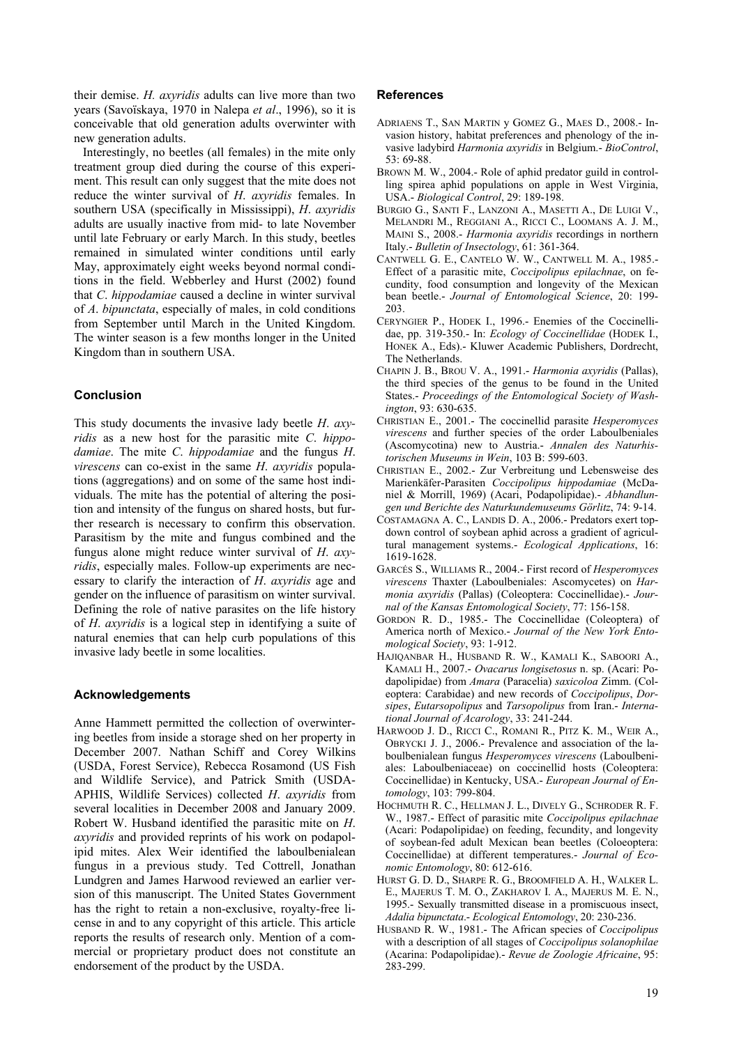their demise. *H. axyridis* adults can live more than two years (Savoïskaya, 1970 in Nalepa *et al*., 1996), so it is conceivable that old generation adults overwinter with new generation adults.

Interestingly, no beetles (all females) in the mite only treatment group died during the course of this experiment. This result can only suggest that the mite does not reduce the winter survival of *H*. *axyridis* females. In southern USA (specifically in Mississippi), *H*. *axyridis* adults are usually inactive from mid- to late November until late February or early March. In this study, beetles remained in simulated winter conditions until early May, approximately eight weeks beyond normal conditions in the field. Webberley and Hurst (2002) found that *C*. *hippodamiae* caused a decline in winter survival of *A*. *bipunctata*, especially of males, in cold conditions from September until March in the United Kingdom. The winter season is a few months longer in the United Kingdom than in southern USA.

# **Conclusion**

This study documents the invasive lady beetle *H*. *axyridis* as a new host for the parasitic mite *C*. *hippodamiae*. The mite *C*. *hippodamiae* and the fungus *H*. *virescens* can co-exist in the same *H*. *axyridis* populations (aggregations) and on some of the same host individuals. The mite has the potential of altering the position and intensity of the fungus on shared hosts, but further research is necessary to confirm this observation. Parasitism by the mite and fungus combined and the fungus alone might reduce winter survival of *H*. *axyridis*, especially males. Follow-up experiments are necessary to clarify the interaction of *H*. *axyridis* age and gender on the influence of parasitism on winter survival. Defining the role of native parasites on the life history of *H*. *axyridis* is a logical step in identifying a suite of natural enemies that can help curb populations of this invasive lady beetle in some localities.

## **Acknowledgements**

Anne Hammett permitted the collection of overwintering beetles from inside a storage shed on her property in December 2007. Nathan Schiff and Corey Wilkins (USDA, Forest Service), Rebecca Rosamond (US Fish and Wildlife Service), and Patrick Smith (USDA-APHIS, Wildlife Services) collected *H*. *axyridis* from several localities in December 2008 and January 2009. Robert W. Husband identified the parasitic mite on *H*. *axyridis* and provided reprints of his work on podapolipid mites. Alex Weir identified the laboulbenialean fungus in a previous study. Ted Cottrell, Jonathan Lundgren and James Harwood reviewed an earlier version of this manuscript. The United States Government has the right to retain a non-exclusive, royalty-free license in and to any copyright of this article. This article reports the results of research only. Mention of a commercial or proprietary product does not constitute an endorsement of the product by the USDA.

### **References**

- ADRIAENS T., SAN MARTIN y GOMEZ G., MAES D., 2008.- Invasion history, habitat preferences and phenology of the invasive ladybird *Harmonia axyridis* in Belgium.- *BioControl*, 53: 69-88.
- BROWN M. W., 2004.- Role of aphid predator guild in controlling spirea aphid populations on apple in West Virginia, USA.- *Biological Control*, 29: 189-198.
- BURGIO G., SANTI F., LANZONI A., MASETTI A., DE LUIGI V., MELANDRI M., REGGIANI A., RICCI C., LOOMANS A. J. M., MAINI S., 2008.- *Harmonia axyridis* recordings in northern Italy.- *Bulletin of Insectology*, 61: 361-364.
- CANTWELL G. E., CANTELO W. W., CANTWELL M. A., 1985.- Effect of a parasitic mite, *Coccipolipus epilachnae*, on fecundity, food consumption and longevity of the Mexican bean beetle.- *Journal of Entomological Science*, 20: 199- 203.
- CERYNGIER P., HODEK I., 1996.- Enemies of the Coccinellidae, pp. 319-350.- In: *Ecology of Coccinellidae* (HODEK I., HONEK A., Eds).- Kluwer Academic Publishers, Dordrecht, The Netherlands.
- CHAPIN J. B., BROU V. A., 1991.- *Harmonia axyridis* (Pallas), the third species of the genus to be found in the United States.- *Proceedings of the Entomological Society of Washington*, 93: 630-635.
- CHRISTIAN E., 2001.- The coccinellid parasite *Hesperomyces virescens* and further species of the order Laboulbeniales (Ascomycotina) new to Austria.- *Annalen des Naturhistorischen Museums in Wein*, 103 B: 599-603.
- CHRISTIAN E., 2002.- Zur Verbreitung und Lebensweise des Marienkäfer-Parasiten *Coccipolipus hippodamiae* (McDaniel & Morrill, 1969) (Acari, Podapolipidae).- *Abhandlungen und Berichte des Naturkundemuseums Görlitz*, 74: 9-14.
- COSTAMAGNA A. C., LANDIS D. A., 2006.- Predators exert topdown control of soybean aphid across a gradient of agricultural management systems.- *Ecological Applications*, 16: 1619-1628.
- GARCÉS S., WILLIAMS R., 2004.- First record of *Hesperomyces virescens* Thaxter (Laboulbeniales: Ascomycetes) on *Harmonia axyridis* (Pallas) (Coleoptera: Coccinellidae).- *Journal of the Kansas Entomological Society*, 77: 156-158.
- GORDON R. D., 1985.- The Coccinellidae (Coleoptera) of America north of Mexico.- *Journal of the New York Entomological Society*, 93: 1-912.
- HAJIQANBAR H., HUSBAND R. W., KAMALI K., SABOORI A., KAMALI H., 2007.- *Ovacarus longisetosus* n. sp. (Acari: Podapolipidae) from *Amara* (Paracelia) *saxicoloa* Zimm. (Coleoptera: Carabidae) and new records of *Coccipolipus*, *Dorsipes*, *Eutarsopolipus* and *Tarsopolipus* from Iran.- *International Journal of Acarology*, 33: 241-244.
- HARWOOD J. D., RICCI C., ROMANI R., PITZ K. M., WEIR A., OBRYCKI J. J., 2006.- Prevalence and association of the laboulbenialean fungus *Hesperomyces virescens* (Laboulbeniales: Laboulbeniaceae) on coccinellid hosts (Coleoptera: Coccinellidae) in Kentucky, USA.- *European Journal of Entomology*, 103: 799-804.
- HOCHMUTH R. C., HELLMAN J. L., DIVELY G., SCHRODER R. F. W., 1987.- Effect of parasitic mite *Coccipolipus epilachnae* (Acari: Podapolipidae) on feeding, fecundity, and longevity of soybean-fed adult Mexican bean beetles (Coloeoptera: Coccinellidae) at different temperatures.- *Journal of Economic Entomology*, 80: 612-616.
- HURST G. D. D., SHARPE R. G., BROOMFIELD A. H., WALKER L. E., MAJERUS T. M. O., ZAKHAROV I. A., MAJERUS M. E. N., 1995.- Sexually transmitted disease in a promiscuous insect, *Adalia bipunctata*.- *Ecological Entomology*, 20: 230-236.
- HUSBAND R. W., 1981.- The African species of *Coccipolipus* with a description of all stages of *Coccipolipus solanophilae* (Acarina: Podapolipidae).- *Revue de Zoologie Africaine*, 95: 283-299.